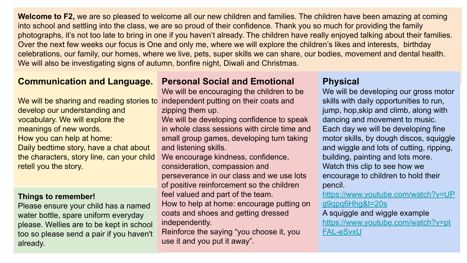**Welcome to F2,** we are so pleased to welcome all our new children and families. The children have been amazing at coming into school and settling into the class, we are so proud of their confidence. Thank you so much for providing the family photographs, it's not too late to bring in one if you haven't already. The children have really enjoyed talking about their families. Over the next few weeks our focus is One and only me, where we will explore the children's likes and interests, birthday celebrations, our family, our homes, where we live, pets, super skills we can share, our bodies, movement and dental health. We will also be investigating signs of autumn, bonfire night, Diwali and Christmas.

### **Communication and Language.**

We will be sharing and reading stories to develop our understanding and vocabulary. We will explore the meanings of new words. How you can help at home: Daily bedtime story, have a chat about the characters, story line, can your child retell you the story.

#### **Things to remember!**

Please ensure your child has a named water bottle, spare uniform everyday please. Wellies are to be kept in school too so please send a pair if you haven't already.

#### **Personal Social and Emotional**

We will be encouraging the children to be independent putting on their coats and zipping them up.

We will be developing confidence to speak in whole class sessions with circle time and small group games, developing turn taking and listening skills.

We encourage kindness, confidence, consideration, compassion and perseverance in our class and we use lots of positive reinforcement so the children feel valued and part of the team. How to help at home: encourage putting on coats and shoes and getting dressed independently.

Reinforce the saying "you choose it, you use it and you put it away".

# **Physical**

We will be developing our gross motor skills with daily opportunities to run, jump, hop,skip and climb, along with dancing and movement to music. Each day we will be developing fine motor skills, by dough discos, squiggle and wiggle and lots of cutting, ripping, building, painting and lots more. Watch this clip to see how we encourage to children to hold their pencil.

[https://www.youtube.com/watch?v=UP](https://www.youtube.com/watch?v=UPg9qpq6Hhg&t=20s) [g9qpq6Hhg&t=20s](https://www.youtube.com/watch?v=UPg9qpq6Hhg&t=20s)

A squiggle and wiggle example [https://www.youtube.com/watch?v=pt](https://www.youtube.com/watch?v=ptFAL-eSvxU) [FAL-eSvxU](https://www.youtube.com/watch?v=ptFAL-eSvxU)